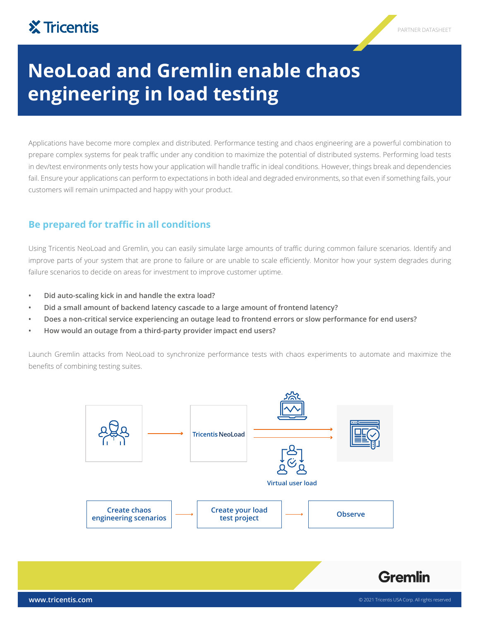## **X** Tricentis

# **NeoLoad and Gremlin enable chaos engineering in load testing**

Applications have become more complex and distributed. Performance testing and chaos engineering are a powerful combination to prepare complex systems for peak traffic under any condition to maximize the potential of distributed systems. Performing load tests in dev/test environments only tests how your application will handle traffic in ideal conditions. However, things break and dependencies fail. Ensure your applications can perform to expectations in both ideal and degraded environments, so that even if something fails, your customers will remain unimpacted and happy with your product.

#### **Be prepared for traffic in all conditions**

Using Tricentis NeoLoad and Gremlin, you can easily simulate large amounts of traffic during common failure scenarios. Identify and improve parts of your system that are prone to failure or are unable to scale efficiently. Monitor how your system degrades during failure scenarios to decide on areas for investment to improve customer uptime.

- **• Did auto-scaling kick in and handle the extra load?**
- **• Did a small amount of backend latency cascade to a large amount of frontend latency?**
- **• Does a non-critical service experiencing an outage lead to frontend errors or slow performance for end users?**
- **• How would an outage from a third-party provider impact end users?**

Launch Gremlin attacks from NeoLoad to synchronize performance tests with chaos experiments to automate and maximize the benefits of combining testing suites.



**Gremlin**